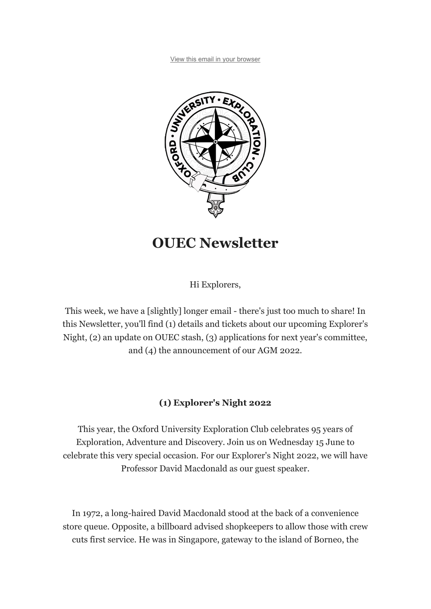View this email in your browser



# OUEC Newsletter

Hi Explorers,

This week, we have a [slightly] longer email - there's just too much to share! In this Newsletter, you'll find (1) details and tickets about our upcoming Explorer's Night, (2) an update on OUEC stash, (3) applications for next year's committee, and (4) the announcement of our AGM 2022.

### (1) Explorer's Night 2022

This year, the Oxford University Exploration Club celebrates 95 years of Exploration, Adventure and Discovery. Join us on Wednesday 15 June to celebrate this very special occasion. For our Explorer's Night 2022, we will have Professor David Macdonald as our guest speaker.

In 1972, a long-haired David Macdonald stood at the back of a convenience store queue. Opposite, a billboard advised shopkeepers to allow those with crew cuts first service. He was in Singapore, gateway to the island of Borneo, the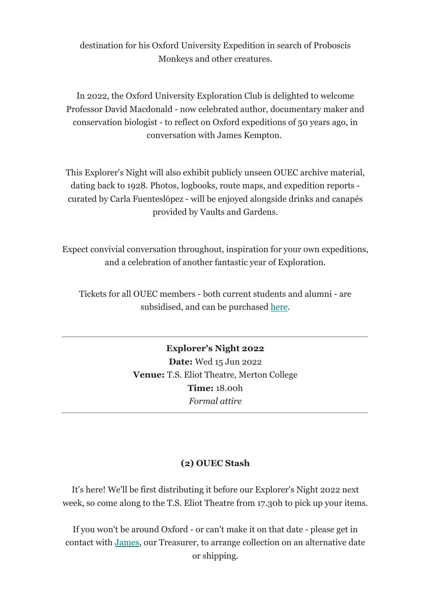destination for his Oxford University Expedition in search of Proboscis Monkeys and other creatures.

In 2022, the Oxford University Exploration Club is delighted to welcome Professor David Macdonald - now celebrated author, documentary maker and conservation biologist - to reflect on Oxford expeditions of 50 years ago, in conversation with James Kempton.

This Explorer's Night will also exhibit publicly unseen OUEC archive material, dating back to 1928. Photos, logbooks, route maps, and expedition reports curated by Carla Fuenteslópez - will be enjoyed alongside drinks and canapés provided by Vaults and Gardens.

Expect convivial conversation throughout, inspiration for your own expeditions, and a celebration of another fantastic year of Exploration.

Tickets for all OUEC members - both current students and alumni - are subsidised, and can be purchased here.

> Explorer's Night 2022 Date: Wed 15 Jun 2022 Venue: T.S. Eliot Theatre, Merton College Time: 18.00h Formal attire

### (2) OUEC Stash

It's here! We'll be first distributing it before our Explorer's Night 2022 next week, so come along to the T.S. Eliot Theatre from 17.30h to pick up your items.

If you won't be around Oxford - or can't make it on that date - please get in contact with James, our Treasurer, to arrange collection on an alternative date or shipping.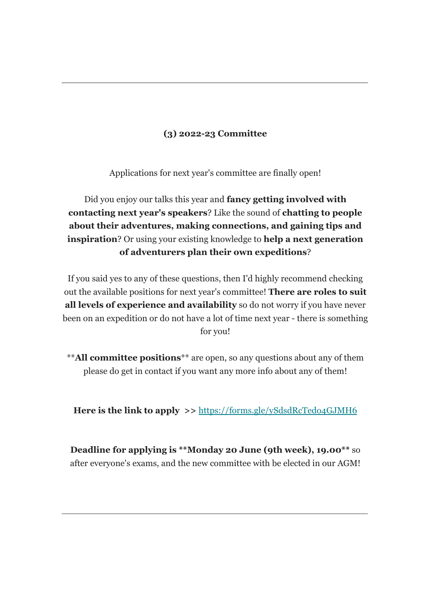## (3) 2022-23 Committee

Applications for next year's committee are finally open!

Did you enjoy our talks this year and **fancy getting involved with** contacting next year's speakers? Like the sound of chatting to people about their adventures, making connections, and gaining tips and **inspiration**? Or using your existing knowledge to **help a next generation** of adventurers plan their own expeditions?

If you said yes to any of these questions, then I'd highly recommend checking out the available positions for next year's committee! There are roles to suit all levels of experience and availability so do not worry if you have never been on an expedition or do not have a lot of time next year - there is something for you!

\*\*All committee positions\*\* are open, so any questions about any of them please do get in contact if you want any more info about any of them!

Here is the link to apply >> https://forms.gle/ySdsdRcTedo4GJMH6

Deadline for applying is \*\*Monday 20 June (9th week), 19.00\*\* so after everyone's exams, and the new committee with be elected in our AGM!